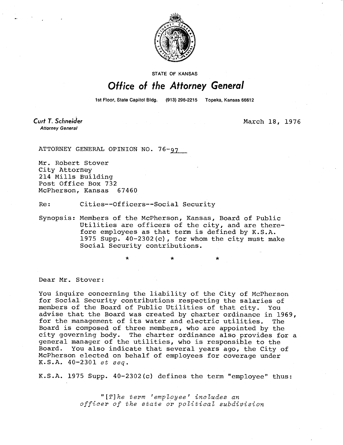

STATE OF KANSAS

## Office of the Attorney General

1st Floor, State Capitol Bldg. (913) 296-2215 Topeka, Kansas 66612

Curt T. Schneider **Attorney General** 

March 18, 1976

ATTORNEY GENERAL OPINION NO. 76-97

Mr. Robert Stover City Attorney 214 Mills Building Post Office Box 732 McPherson, Kansas 67460

Re: Cities--Officers--Social Security

Synopsis: Members of the McPherson, Kansas, Board of Public Utilities are officers of the city, and are therefore employees as that term is defined by K.S.A. 1975 Supp. 40-2302(c), for whom the city must make Social Security contributions.

Dear Mr. Stover:

You inquire concerning the liability of the City of McPherson for Social Security contributions respecting the salaries of members of the Board of Public Utilities of that city. You advise that the Board was created by charter ordinance in 1969, for the management of its water and electric utilities. The Board is composed of three members, who are appointed by the city governing body. The charter ordinance also provides for a general manager of the utilities, who is responsible to the Board. You also indicate that several years ago, the City of McPherson elected on behalf of employees for coverage under K.S.A. 40-2301 et seq.

K.S.A. 1975 Supp. 40-2302(c) defines the term "employee" thus:

"[T]he term 'employee' includes an officer of the state or political subdivision